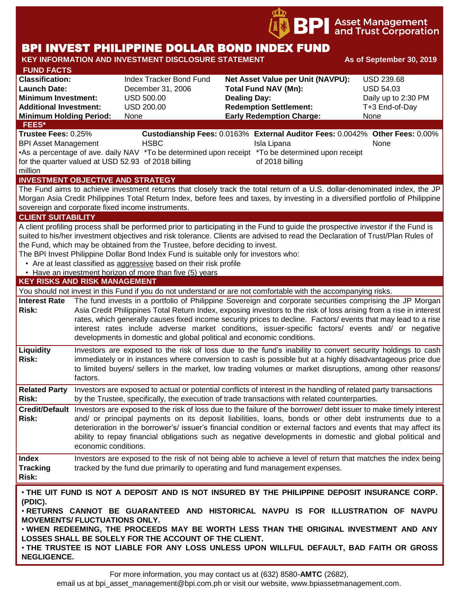

# BPI INVEST PHILIPPINE DOLLAR BOND INDEX FUND

| <b>KEY INFORMATION AND INVESTMENT DISCLOSURE STATEMENT</b><br>As of September 30, 2019                                                                                                                                                                                                                                                                                                                                                                                                                                                                                         |                                                                                                                                                                                                                                                                                                                                                                                                                                                                                                                                   |                                                                                                              |                                                                                                                                                                                                                                                                                                                                                                                                                                                                            |                                                                                        |  |  |  |  |  |
|--------------------------------------------------------------------------------------------------------------------------------------------------------------------------------------------------------------------------------------------------------------------------------------------------------------------------------------------------------------------------------------------------------------------------------------------------------------------------------------------------------------------------------------------------------------------------------|-----------------------------------------------------------------------------------------------------------------------------------------------------------------------------------------------------------------------------------------------------------------------------------------------------------------------------------------------------------------------------------------------------------------------------------------------------------------------------------------------------------------------------------|--------------------------------------------------------------------------------------------------------------|----------------------------------------------------------------------------------------------------------------------------------------------------------------------------------------------------------------------------------------------------------------------------------------------------------------------------------------------------------------------------------------------------------------------------------------------------------------------------|----------------------------------------------------------------------------------------|--|--|--|--|--|
| <b>FUND FACTS</b><br><b>Classification:</b><br><b>Launch Date:</b><br><b>Minimum Investment:</b><br><b>Additional Investment:</b><br><b>Minimum Holding Period:</b>                                                                                                                                                                                                                                                                                                                                                                                                            |                                                                                                                                                                                                                                                                                                                                                                                                                                                                                                                                   | <b>Index Tracker Bond Fund</b><br>December 31, 2006<br><b>USD 500.00</b><br><b>USD 200.00</b><br><b>None</b> | Net Asset Value per Unit (NAVPU):<br><b>Total Fund NAV (Mn):</b><br><b>Dealing Day:</b><br><b>Redemption Settlement:</b><br><b>Early Redemption Charge:</b>                                                                                                                                                                                                                                                                                                                | <b>USD 239.68</b><br><b>USD 54.03</b><br>Daily up to 2:30 PM<br>T+3 End-of-Day<br>None |  |  |  |  |  |
| <b>FEES*</b><br>Trustee Fees: 0.25%<br>Custodianship Fees: 0.0163% External Auditor Fees: 0.0042% Other Fees: 0.00%<br><b>HSBC</b><br><b>BPI Asset Management</b><br>Isla Lipana<br>None                                                                                                                                                                                                                                                                                                                                                                                       |                                                                                                                                                                                                                                                                                                                                                                                                                                                                                                                                   |                                                                                                              |                                                                                                                                                                                                                                                                                                                                                                                                                                                                            |                                                                                        |  |  |  |  |  |
| •As a percentage of ave. daily NAV *To be determined upon receipt *To be determined upon receipt<br>for the quarter valued at USD 52.93 of 2018 billing<br>of 2018 billing<br>million                                                                                                                                                                                                                                                                                                                                                                                          |                                                                                                                                                                                                                                                                                                                                                                                                                                                                                                                                   |                                                                                                              |                                                                                                                                                                                                                                                                                                                                                                                                                                                                            |                                                                                        |  |  |  |  |  |
| <b>INVESTMENT OBJECTIVE AND STRATEGY</b><br>The Fund aims to achieve investment returns that closely track the total return of a U.S. dollar-denominated index, the JP<br>Morgan Asia Credit Philippines Total Return Index, before fees and taxes, by investing in a diversified portfolio of Philippine<br>sovereign and corporate fixed income instruments.                                                                                                                                                                                                                 |                                                                                                                                                                                                                                                                                                                                                                                                                                                                                                                                   |                                                                                                              |                                                                                                                                                                                                                                                                                                                                                                                                                                                                            |                                                                                        |  |  |  |  |  |
| <b>CLIENT SUITABILITY</b>                                                                                                                                                                                                                                                                                                                                                                                                                                                                                                                                                      |                                                                                                                                                                                                                                                                                                                                                                                                                                                                                                                                   |                                                                                                              |                                                                                                                                                                                                                                                                                                                                                                                                                                                                            |                                                                                        |  |  |  |  |  |
| A client profiling process shall be performed prior to participating in the Fund to guide the prospective investor if the Fund is<br>suited to his/her investment objectives and risk tolerance. Clients are advised to read the Declaration of Trust/Plan Rules of<br>the Fund, which may be obtained from the Trustee, before deciding to invest.<br>The BPI Invest Philippine Dollar Bond Index Fund is suitable only for investors who:<br>• Are at least classified as aggressive based on their risk profile<br>• Have an investment horizon of more than five (5) years |                                                                                                                                                                                                                                                                                                                                                                                                                                                                                                                                   |                                                                                                              |                                                                                                                                                                                                                                                                                                                                                                                                                                                                            |                                                                                        |  |  |  |  |  |
| <b>KEY RISKS AND RISK MANAGEMENT</b>                                                                                                                                                                                                                                                                                                                                                                                                                                                                                                                                           |                                                                                                                                                                                                                                                                                                                                                                                                                                                                                                                                   |                                                                                                              |                                                                                                                                                                                                                                                                                                                                                                                                                                                                            |                                                                                        |  |  |  |  |  |
|                                                                                                                                                                                                                                                                                                                                                                                                                                                                                                                                                                                |                                                                                                                                                                                                                                                                                                                                                                                                                                                                                                                                   |                                                                                                              | You should not invest in this Fund if you do not understand or are not comfortable with the accompanying risks.                                                                                                                                                                                                                                                                                                                                                            |                                                                                        |  |  |  |  |  |
| <b>Interest Rate</b><br><b>Risk:</b>                                                                                                                                                                                                                                                                                                                                                                                                                                                                                                                                           | The fund invests in a portfolio of Philippine Sovereign and corporate securities comprising the JP Morgan<br>Asia Credit Philippines Total Return Index, exposing investors to the risk of loss arising from a rise in interest<br>rates, which generally causes fixed income security prices to decline. Factors/ events that may lead to a rise<br>interest rates include adverse market conditions, issuer-specific factors/ events and/ or negative<br>developments in domestic and global political and economic conditions. |                                                                                                              |                                                                                                                                                                                                                                                                                                                                                                                                                                                                            |                                                                                        |  |  |  |  |  |
| <b>Liquidity</b><br><b>Risk:</b>                                                                                                                                                                                                                                                                                                                                                                                                                                                                                                                                               | Investors are exposed to the risk of loss due to the fund's inability to convert security holdings to cash<br>immediately or in instances where conversion to cash is possible but at a highly disadvantageous price due<br>to limited buyers/ sellers in the market, low trading volumes or market disruptions, among other reasons/<br>factors.                                                                                                                                                                                 |                                                                                                              |                                                                                                                                                                                                                                                                                                                                                                                                                                                                            |                                                                                        |  |  |  |  |  |
| <b>Related Party</b><br><b>Risk:</b>                                                                                                                                                                                                                                                                                                                                                                                                                                                                                                                                           |                                                                                                                                                                                                                                                                                                                                                                                                                                                                                                                                   |                                                                                                              | Investors are exposed to actual or potential conflicts of interest in the handling of related party transactions<br>by the Trustee, specifically, the execution of trade transactions with related counterparties.                                                                                                                                                                                                                                                         |                                                                                        |  |  |  |  |  |
| Risk:                                                                                                                                                                                                                                                                                                                                                                                                                                                                                                                                                                          | economic conditions.                                                                                                                                                                                                                                                                                                                                                                                                                                                                                                              |                                                                                                              | Credit/Default Investors are exposed to the risk of loss due to the failure of the borrower/debt issuer to make timely interest<br>and/ or principal payments on its deposit liabilities, loans, bonds or other debt instruments due to a<br>deterioration in the borrower's/ issuer's financial condition or external factors and events that may affect its<br>ability to repay financial obligations such as negative developments in domestic and global political and |                                                                                        |  |  |  |  |  |
| <b>Index</b><br><b>Tracking</b><br><b>Risk:</b>                                                                                                                                                                                                                                                                                                                                                                                                                                                                                                                                |                                                                                                                                                                                                                                                                                                                                                                                                                                                                                                                                   |                                                                                                              | Investors are exposed to the risk of not being able to achieve a level of return that matches the index being<br>tracked by the fund due primarily to operating and fund management expenses.                                                                                                                                                                                                                                                                              |                                                                                        |  |  |  |  |  |
| (PDIC).<br><b>MOVEMENTS/ FLUCTUATIONS ONLY.</b><br><b>NEGLIGENCE.</b>                                                                                                                                                                                                                                                                                                                                                                                                                                                                                                          |                                                                                                                                                                                                                                                                                                                                                                                                                                                                                                                                   | LOSSES SHALL BE SOLELY FOR THE ACCOUNT OF THE CLIENT.                                                        | . THE UIT FUND IS NOT A DEPOSIT AND IS NOT INSURED BY THE PHILIPPINE DEPOSIT INSURANCE CORP.<br>. RETURNS CANNOT BE GUARANTEED AND HISTORICAL NAVPU IS FOR ILLUSTRATION OF NAVPU<br>. WHEN REDEEMING, THE PROCEEDS MAY BE WORTH LESS THAN THE ORIGINAL INVESTMENT AND ANY<br>. THE TRUSTEE IS NOT LIABLE FOR ANY LOSS UNLESS UPON WILLFUL DEFAULT, BAD FAITH OR GROSS                                                                                                      |                                                                                        |  |  |  |  |  |

For more information, you may contact us at (632) 8580-**AMTC** (2682),

email us at bpi\_asset\_management@bpi.com.ph or visit our website, www.bpiassetmanagement.com.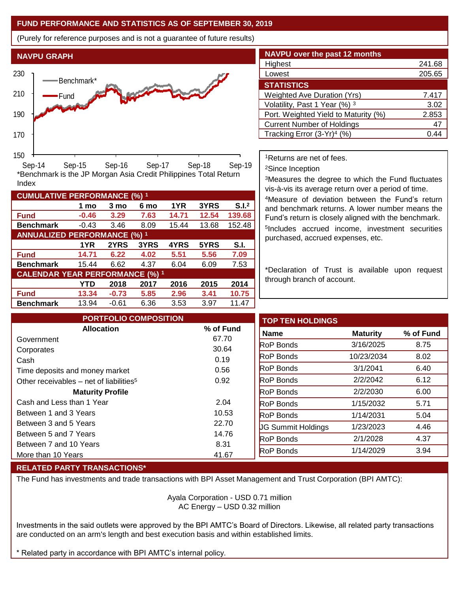## **FUND PERFORMANCE AND STATISTICS AS OF SEPTEMBER 30, 2019**

**1 mo 3 mo 6 mo 1YR 3YRS S.I.<sup>2</sup>**

**1YR 2YRS 3YRS 4YRS 5YRS S.I.**

**YTD 2018 2017 2016 2015 2014**

(Purely for reference purposes and is not a guarantee of future results)



**Fund -0.46 3.29 7.63 14.71 12.54 139.68 Benchmark** -0.43 3.46 8.09 15.44 13.68 152.48

\*Benchmark is the JP Morgan Asia Credit Philippines Total Return

**Fund 14.71 6.22 4.02 5.51 5.56 7.09 Benchmark** 15.44 6.62 4.37 6.04 6.09 7.53

**Fund 13.34 -0.73 5.85 2.96 3.41 10.75 Benchmark** 13.94 -0.61 6.36 3.53 3.97 11.47

| <b>NAVPU</b> over the past 12 months   |        |  |  |  |  |
|----------------------------------------|--------|--|--|--|--|
| Highest                                | 241.68 |  |  |  |  |
| Lowest                                 | 205.65 |  |  |  |  |
| <b>STATISTICS</b>                      |        |  |  |  |  |
| <b>Weighted Ave Duration (Yrs)</b>     | 7.417  |  |  |  |  |
| Volatility, Past 1 Year (%) 3          | 3.02   |  |  |  |  |
| Port. Weighted Yield to Maturity (%)   | 2.853  |  |  |  |  |
| <b>Current Number of Holdings</b>      | 47     |  |  |  |  |
| Tracking Error (3-Yr) <sup>4</sup> (%) | ( ) 4. |  |  |  |  |

<sup>1</sup>Returns are net of fees.

<sup>2</sup>Since Inception

<sup>3</sup>Measures the degree to which the Fund fluctuates vis-à-vis its average return over a period of time.

<sup>4</sup>Measure of deviation between the Fund's return and benchmark returns. A lower number means the Fund's return is closely aligned with the benchmark. 5 Includes accrued income, investment securities purchased, accrued expenses, etc.

\*Declaration of Trust is available upon request through branch of account.

| <b>PORTFOLIO COMPOSITION</b>                        |           | <b>TOP TEN HOLDINGS</b>   |                 |           |
|-----------------------------------------------------|-----------|---------------------------|-----------------|-----------|
| <b>Allocation</b>                                   | % of Fund | <b>Name</b>               | <b>Maturity</b> | % of Fund |
| Government                                          | 67.70     | <b>RoP Bonds</b>          | 3/16/2025       | 8.75      |
| Corporates                                          | 30.64     |                           |                 |           |
| Cash                                                | 0.19      | <b>RoP</b> Bonds          | 10/23/2034      | 8.02      |
| Time deposits and money market                      | 0.56      | <b>RoP Bonds</b>          | 3/1/2041        | 6.40      |
| Other receivables - net of liabilities <sup>5</sup> | 0.92      | <b>RoP Bonds</b>          | 2/2/2042        | 6.12      |
| <b>Maturity Profile</b>                             |           | <b>RoP</b> Bonds          | 2/2/2030        | 6.00      |
| Cash and Less than 1 Year                           | 2.04      | <b>RoP</b> Bonds          | 1/15/2032       | 5.71      |
| Between 1 and 3 Years                               | 10.53     | <b>RoP Bonds</b>          | 1/14/2031       | 5.04      |
| Between 3 and 5 Years                               | 22.70     | <b>UG Summit Holdings</b> | 1/23/2023       | 4.46      |
| Between 5 and 7 Years                               | 14.76     |                           |                 |           |
| Between 7 and 10 Years                              | 8.31      | <b>RoP</b> Bonds          | 2/1/2028        | 4.37      |
| More than 10 Years                                  | 41.67     | <b>RoP Bonds</b>          | 1/14/2029       | 3.94      |

## **RELATED PARTY TRANSACTIONS\***

**CUMULATIVE PERFORMANCE (%) <sup>1</sup>**

Index

**ANNUALIZED PERFORMANCE (%) <sup>1</sup>**

**CALENDAR YEAR PERFORMANCE (%) <sup>1</sup>**

The Fund has investments and trade transactions with BPI Asset Management and Trust Corporation (BPI AMTC):

Ayala Corporation - USD 0.71 million AC Energy – USD 0.32 million

Investments in the said outlets were approved by the BPI AMTC's Board of Directors. Likewise, all related party transactions are conducted on an arm's length and best execution basis and within established limits.

Related party in accordance with BPI AMTC's internal policy.